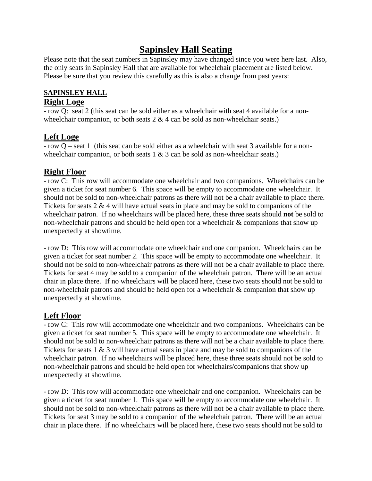## **Sapinsley Hall Seating**

Please note that the seat numbers in Sapinsley may have changed since you were here last. Also, the only seats in Sapinsley Hall that are available for wheelchair placement are listed below. Please be sure that you review this carefully as this is also a change from past years:

# **SAPINSLEY HALL**

### **Right Loge**

- row Q: seat 2 (this seat can be sold either as a wheelchair with seat 4 available for a nonwheelchair companion, or both seats  $2 \& 4$  can be sold as non-wheelchair seats.)

## **Left Loge**

- row Q – seat 1 (this seat can be sold either as a wheelchair with seat 3 available for a nonwheelchair companion, or both seats 1 & 3 can be sold as non-wheelchair seats.)

## **Right Floor**

- row C: This row will accommodate one wheelchair and two companions. Wheelchairs can be given a ticket for seat number 6. This space will be empty to accommodate one wheelchair. It should not be sold to non-wheelchair patrons as there will not be a chair available to place there. Tickets for seats 2 & 4 will have actual seats in place and may be sold to companions of the wheelchair patron. If no wheelchairs will be placed here, these three seats should **not** be sold to non-wheelchair patrons and should be held open for a wheelchair & companions that show up unexpectedly at showtime.

- row D: This row will accommodate one wheelchair and one companion. Wheelchairs can be given a ticket for seat number 2. This space will be empty to accommodate one wheelchair. It should not be sold to non-wheelchair patrons as there will not be a chair available to place there. Tickets for seat 4 may be sold to a companion of the wheelchair patron. There will be an actual chair in place there. If no wheelchairs will be placed here, these two seats should not be sold to non-wheelchair patrons and should be held open for a wheelchair & companion that show up unexpectedly at showtime.

### **Left Floor**

- row C: This row will accommodate one wheelchair and two companions. Wheelchairs can be given a ticket for seat number 5. This space will be empty to accommodate one wheelchair. It should not be sold to non-wheelchair patrons as there will not be a chair available to place there. Tickets for seats 1 & 3 will have actual seats in place and may be sold to companions of the wheelchair patron. If no wheelchairs will be placed here, these three seats should not be sold to non-wheelchair patrons and should be held open for wheelchairs/companions that show up unexpectedly at showtime.

- row D: This row will accommodate one wheelchair and one companion. Wheelchairs can be given a ticket for seat number 1. This space will be empty to accommodate one wheelchair. It should not be sold to non-wheelchair patrons as there will not be a chair available to place there. Tickets for seat 3 may be sold to a companion of the wheelchair patron. There will be an actual chair in place there. If no wheelchairs will be placed here, these two seats should not be sold to